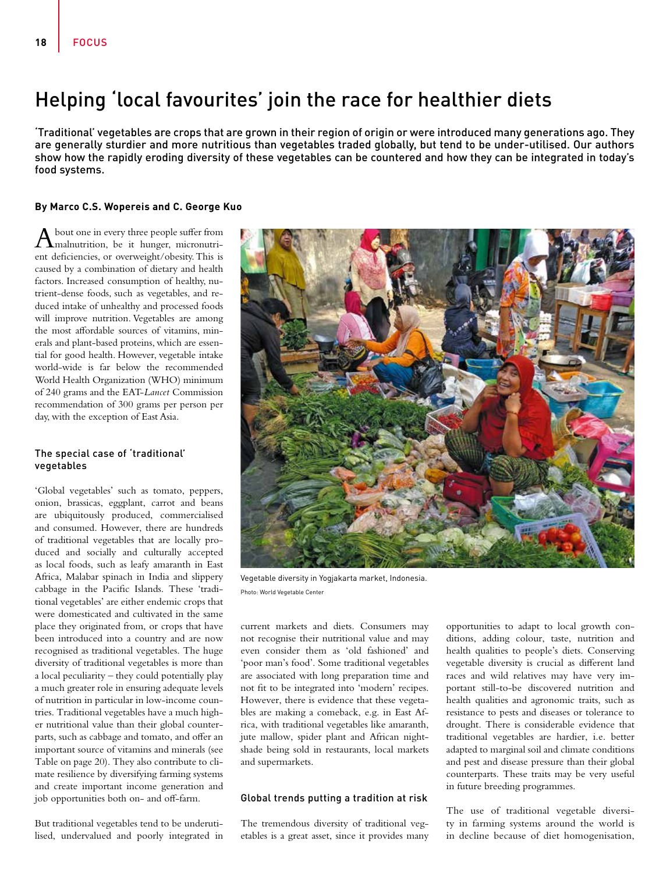# Helping 'local favourites' join the race for healthier diets

'Traditional' vegetables are crops that are grown in their region of origin or were introduced many generations ago. They are generally sturdier and more nutritious than vegetables traded globally, but tend to be under-utilised. Our authors show how the rapidly eroding diversity of these vegetables can be countered and how they can be integrated in today's food systems.

## **By Marco C.S. Wopereis and C. George Kuo**

 $A$  bout one in every three people suffer from<br>malnutrition, be it hunger, micronutrient deficiencies, or overweight/obesity. This is caused by a combination of dietary and health factors. Increased consumption of healthy, nutrient-dense foods, such as vegetables, and reduced intake of unhealthy and processed foods will improve nutrition. Vegetables are among the most affordable sources of vitamins, minerals and plant-based proteins, which are essential for good health. However, vegetable intake world-wide is far below the recommended World Health Organization (WHO) minimum of 240 grams and the EAT-*Lancet* Commission recommendation of 300 grams per person per day, with the exception of East Asia.

# The special case of 'traditional' vegetables

'Global vegetables' such as tomato, peppers, onion, brassicas, eggplant, carrot and beans are ubiquitously produced, commercialised and consumed. However, there are hundreds of traditional vegetables that are locally produced and socially and culturally accepted as local foods, such as leafy amaranth in East Africa, Malabar spinach in India and slippery cabbage in the Pacific Islands. These 'traditional vegetables' are either endemic crops that were domesticated and cultivated in the same place they originated from, or crops that have been introduced into a country and are now recognised as traditional vegetables. The huge diversity of traditional vegetables is more than a local peculiarity – they could potentially play a much greater role in ensuring adequate levels of nutrition in particular in low-income countries. Traditional vegetables have a much higher nutritional value than their global counterparts, such as cabbage and tomato, and offer an important source of vitamins and minerals (see Table on page 20). They also contribute to climate resilience by diversifying farming systems and create important income generation and job opportunities both on- and off-farm.

But traditional vegetables tend to be underutilised, undervalued and poorly integrated in



Vegetable diversity in Yogjakarta market, Indonesia. Photo: World Vegetable Center

current markets and diets. Consumers may not recognise their nutritional value and may even consider them as 'old fashioned' and 'poor man's food'. Some traditional vegetables are associated with long preparation time and not fit to be integrated into 'modern' recipes. However, there is evidence that these vegetables are making a comeback, e.g. in East Africa, with traditional vegetables like amaranth, jute mallow, spider plant and African nightshade being sold in restaurants, local markets and supermarkets.

# Global trends putting a tradition at risk

The tremendous diversity of traditional vegetables is a great asset, since it provides many opportunities to adapt to local growth conditions, adding colour, taste, nutrition and health qualities to people's diets. Conserving vegetable diversity is crucial as different land races and wild relatives may have very important still-to-be discovered nutrition and health qualities and agronomic traits, such as resistance to pests and diseases or tolerance to drought. There is considerable evidence that traditional vegetables are hardier, i.e. better adapted to marginal soil and climate conditions and pest and disease pressure than their global counterparts. These traits may be very useful in future breeding programmes.

The use of traditional vegetable diversity in farming systems around the world is in decline because of diet homogenisation,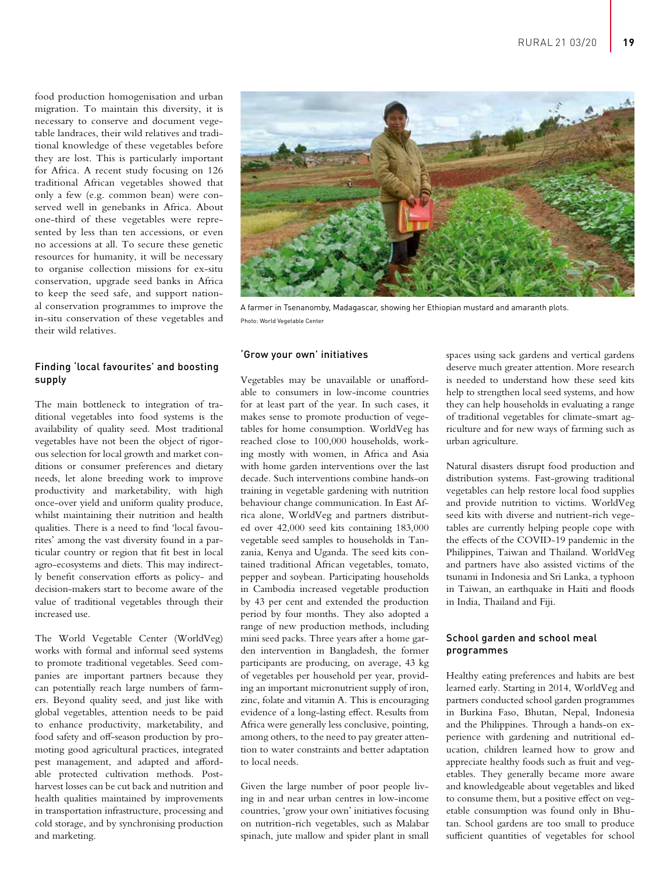food production homogenisation and urban migration. To maintain this diversity, it is necessary to conserve and document vegetable landraces, their wild relatives and traditional knowledge of these vegetables before they are lost. This is particularly important for Africa. A recent study focusing on 126 traditional African vegetables showed that only a few (e.g. common bean) were conserved well in genebanks in Africa. About one-third of these vegetables were represented by less than ten accessions, or even no accessions at all. To secure these genetic resources for humanity, it will be necessary to organise collection missions for ex-situ conservation, upgrade seed banks in Africa to keep the seed safe, and support national conservation programmes to improve the in-situ conservation of these vegetables and their wild relatives.

# Finding 'local favourites' and boosting supply

The main bottleneck to integration of traditional vegetables into food systems is the availability of quality seed. Most traditional vegetables have not been the object of rigorous selection for local growth and market conditions or consumer preferences and dietary needs, let alone breeding work to improve productivity and marketability, with high once-over yield and uniform quality produce, whilst maintaining their nutrition and health qualities. There is a need to find 'local favourites' among the vast diversity found in a particular country or region that fit best in local agro-ecosystems and diets. This may indirectly benefit conservation efforts as policy- and decision-makers start to become aware of the value of traditional vegetables through their increased use.

The World Vegetable Center (WorldVeg) works with formal and informal seed systems to promote traditional vegetables. Seed companies are important partners because they can potentially reach large numbers of farmers. Beyond quality seed, and just like with global vegetables, attention needs to be paid to enhance productivity, marketability, and food safety and off-season production by promoting good agricultural practices, integrated pest management, and adapted and affordable protected cultivation methods. Postharvest losses can be cut back and nutrition and health qualities maintained by improvements in transportation infrastructure, processing and cold storage, and by synchronising production and marketing.



A farmer in Tsenanomby, Madagascar, showing her Ethiopian mustard and amaranth plots. Photo: World Vegetable Center

#### 'Grow your own' initiatives

Vegetables may be unavailable or unaffordable to consumers in low-income countries for at least part of the year. In such cases, it makes sense to promote production of vegetables for home consumption. WorldVeg has reached close to 100,000 households, working mostly with women, in Africa and Asia with home garden interventions over the last decade. Such interventions combine hands-on training in vegetable gardening with nutrition behaviour change communication. In East Africa alone, WorldVeg and partners distributed over 42,000 seed kits containing 183,000 vegetable seed samples to households in Tanzania, Kenya and Uganda. The seed kits contained traditional African vegetables, tomato, pepper and soybean. Participating households in Cambodia increased vegetable production by 43 per cent and extended the production period by four months. They also adopted a range of new production methods, including mini seed packs. Three years after a home garden intervention in Bangladesh, the former participants are producing, on average, 43 kg of vegetables per household per year, providing an important micronutrient supply of iron, zinc, folate and vitamin A. This is encouraging evidence of a long-lasting effect. Results from Africa were generally less conclusive, pointing, among others, to the need to pay greater attention to water constraints and better adaptation to local needs.

Given the large number of poor people living in and near urban centres in low-income countries, 'grow your own' initiatives focusing on nutrition-rich vegetables, such as Malabar spinach, jute mallow and spider plant in small

spaces using sack gardens and vertical gardens deserve much greater attention. More research is needed to understand how these seed kits help to strengthen local seed systems, and how they can help households in evaluating a range of traditional vegetables for climate-smart agriculture and for new ways of farming such as urban agriculture.

Natural disasters disrupt food production and distribution systems. Fast-growing traditional vegetables can help restore local food supplies and provide nutrition to victims. WorldVeg seed kits with diverse and nutrient-rich vegetables are currently helping people cope with the effects of the COVID-19 pandemic in the Philippines, Taiwan and Thailand. WorldVeg and partners have also assisted victims of the tsunami in Indonesia and Sri Lanka, a typhoon in Taiwan, an earthquake in Haiti and floods in India, Thailand and Fiji.

### School garden and school meal programmes

Healthy eating preferences and habits are best learned early. Starting in 2014, WorldVeg and partners conducted school garden programmes in Burkina Faso, Bhutan, Nepal, Indonesia and the Philippines. Through a hands-on experience with gardening and nutritional education, children learned how to grow and appreciate healthy foods such as fruit and vegetables. They generally became more aware and knowledgeable about vegetables and liked to consume them, but a positive effect on vegetable consumption was found only in Bhutan. School gardens are too small to produce sufficient quantities of vegetables for school